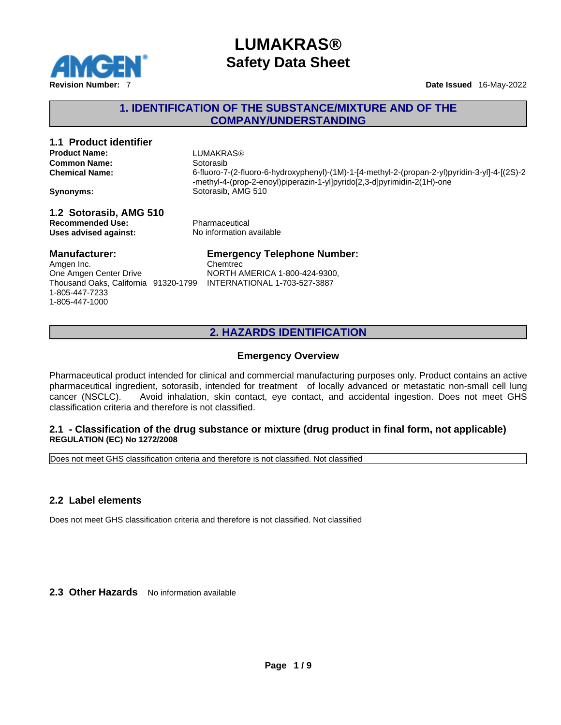

### **1. IDENTIFICATION OF THE SUBSTANCE/MIXTURE AND OF THE COMPANY/UNDERSTANDING**

# **1.1 Product identifier Product Name:** LUMAKRAS® **Common Name:**<br> **Chemical Name:**<br>
G-fluoro-7

**Chemical Name:** 6-fluoro-7-(2-fluoro-6-hydroxyphenyl)-(1M)-1-[4-methyl-2-(propan-2-yl)pyridin-3-yl]-4-[(2S)-2 -methyl-4-(prop-2-enoyl)piperazin-1-yl]pyrido[2,3-d]pyrimidin-2(1H)-one **Synonyms:** Sotorasib, AMG 510

**1.2 Sotorasib, AMG 510 Recommended Use:**<br> **Uses advised against:**<br> **Uses advised against:**<br> **No information available Uses** advised against:

### **Manufacturer:**

Amgen Inc. One Amgen Center Drive Thousand Oaks, California 91320-1799 1-805-447-7233 1-805-447-1000

# **Emergency Telephone Number:**

Chemtrec NORTH AMERICA 1-800-424-9300, INTERNATIONAL 1-703-527-3887

### **2. HAZARDS IDENTIFICATION**

### **Emergency Overview**

Pharmaceutical product intended for clinical and commercial manufacturing purposes only. Product contains an active pharmaceutical ingredient, sotorasib, intended for treatment of locally advanced or metastatic non-small cell lung cancer (NSCLC). Avoid inhalation, skin contact, eye contact, and accidental ingestion. Does not meet GHS classification criteria and therefore is not classified.

### **2.1 - Classification of the drug substance or mixture (drug product in final form, not applicable) REGULATION (EC) No 1272/2008**

Does not meet GHS classification criteria and therefore is not classified. Not classified

### **2.2 Label elements**

Does not meet GHS classification criteria and therefore is not classified. Not classified

2.3 Other Hazards No information available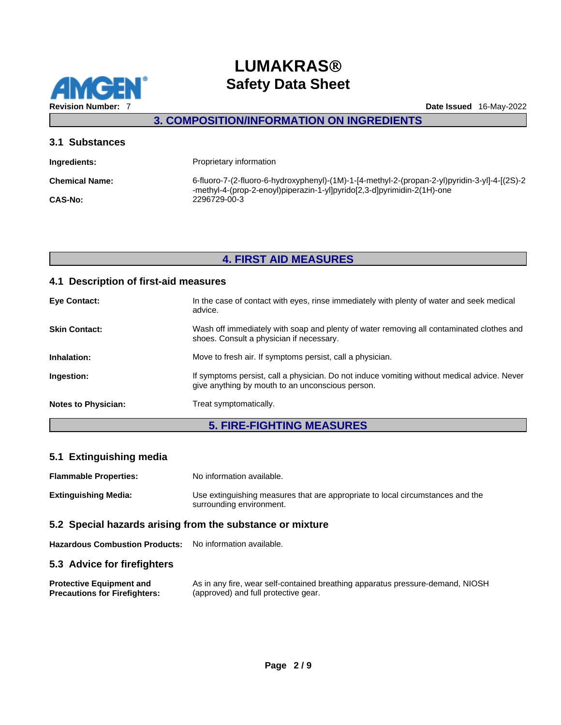

## **3. COMPOSITION/INFORMATION ON INGREDIENTS**

| 3.1 Substances                                                                                                                                                           |  |  |
|--------------------------------------------------------------------------------------------------------------------------------------------------------------------------|--|--|
| Proprietary information                                                                                                                                                  |  |  |
| 6-fluoro-7-(2-fluoro-6-hydroxyphenyl)-(1M)-1-[4-methyl-2-(propan-2-yl)pyridin-3-yl]-4-[(2S)-2<br>-methyl-4-(prop-2-enoyl)piperazin-1-yl]pyrido[2,3-d]pyrimidin-2(1H)-one |  |  |
| 2296729-00-3                                                                                                                                                             |  |  |
|                                                                                                                                                                          |  |  |

# **4. FIRST AID MEASURES**

### **4.1 Description of first-aid measures**

| <b>Eye Contact:</b>        | In the case of contact with eyes, rinse immediately with plenty of water and seek medical<br>advice.                                            |
|----------------------------|-------------------------------------------------------------------------------------------------------------------------------------------------|
| <b>Skin Contact:</b>       | Wash off immediately with soap and plenty of water removing all contaminated clothes and<br>shoes. Consult a physician if necessary.            |
| Inhalation:                | Move to fresh air. If symptoms persist, call a physician.                                                                                       |
| Ingestion:                 | If symptoms persist, call a physician. Do not induce vomiting without medical advice. Never<br>give anything by mouth to an unconscious person. |
| <b>Notes to Physician:</b> | Treat symptomatically.                                                                                                                          |
|                            |                                                                                                                                                 |

# **5. FIRE-FIGHTING MEASURES**

## **5.1 Extinguishing media**

| <b>Flammable Properties:</b> | No information available.                                                                                  |  |
|------------------------------|------------------------------------------------------------------------------------------------------------|--|
| Extinguishing Media:         | Use extinguishing measures that are appropriate to local circumstances and the<br>surrounding environment. |  |
| ---                          |                                                                                                            |  |

### **5.2 Special hazards arising from the substance or mixture**

**Hazardous Combustion Products:** No information available.

### **5.3 Advice for firefighters**

| <b>Protective Equipment and</b>      | As in any fire, wear self-contained breathing apparatus pressure-demand, NIOSH |
|--------------------------------------|--------------------------------------------------------------------------------|
| <b>Precautions for Firefighters:</b> | (approved) and full protective gear.                                           |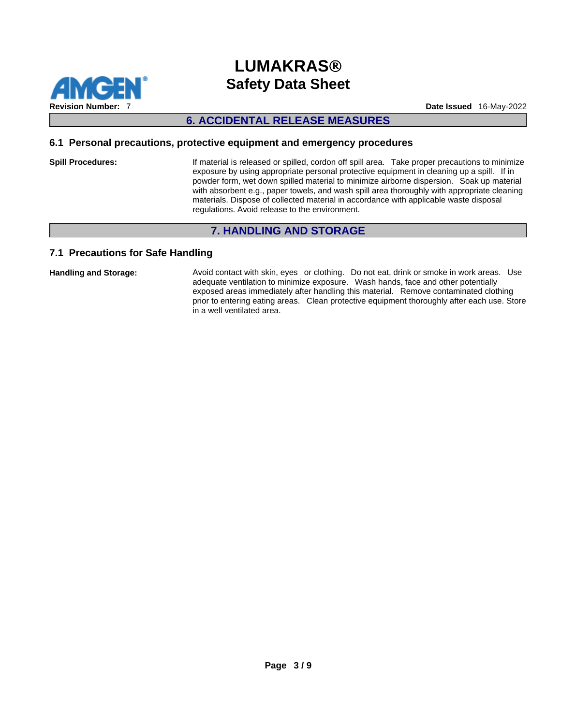

### **6. ACCIDENTAL RELEASE MEASURES**

### **6.1 Personal precautions, protective equipment and emergency procedures**

**Spill Procedures:** If material is released or spilled, cordon off spill area. Take proper precautions to minimize exposure by using appropriate personal protective equipment in cleaning up a spill. If in powder form, wet down spilled material to minimize airborne dispersion. Soak up material with absorbent e.g., paper towels, and wash spill area thoroughly with appropriate cleaning materials. Dispose of collected material in accordance with applicable waste disposal regulations. Avoid release to the environment.

### **7. HANDLING AND STORAGE**

### **7.1 Precautions for Safe Handling**

**Handling and Storage:** Avoid contact with skin, eyes or clothing. Do not eat, drink or smoke in work areas. Use adequate ventilation to minimize exposure. Wash hands, face and other potentially exposed areas immediately after handling this material. Remove contaminated clothing prior to entering eating areas. Clean protective equipment thoroughly after each use. Store in a well ventilated area.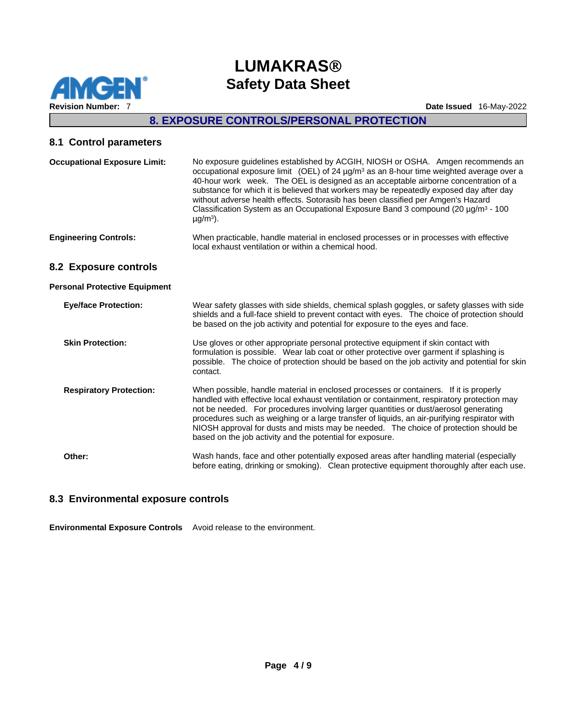

# **8. EXPOSURE CONTROLS/PERSONAL PROTECTION**

## **8.1 Control parameters**

| <b>Occupational Exposure Limit:</b>  | No exposure guidelines established by ACGIH, NIOSH or OSHA. Amgen recommends an<br>occupational exposure limit (OEL) of 24 $\mu$ g/m <sup>3</sup> as an 8-hour time weighted average over a<br>40-hour work week. The OEL is designed as an acceptable airborne concentration of a<br>substance for which it is believed that workers may be repeatedly exposed day after day<br>without adverse health effects. Sotorasib has been classified per Amgen's Hazard<br>Classification System as an Occupational Exposure Band 3 compound (20 µg/m <sup>3</sup> - 100<br>$\mu$ g/m <sup>3</sup> ). |
|--------------------------------------|-------------------------------------------------------------------------------------------------------------------------------------------------------------------------------------------------------------------------------------------------------------------------------------------------------------------------------------------------------------------------------------------------------------------------------------------------------------------------------------------------------------------------------------------------------------------------------------------------|
| <b>Engineering Controls:</b>         | When practicable, handle material in enclosed processes or in processes with effective<br>local exhaust ventilation or within a chemical hood.                                                                                                                                                                                                                                                                                                                                                                                                                                                  |
| 8.2 Exposure controls                |                                                                                                                                                                                                                                                                                                                                                                                                                                                                                                                                                                                                 |
| <b>Personal Protective Equipment</b> |                                                                                                                                                                                                                                                                                                                                                                                                                                                                                                                                                                                                 |
| <b>Eye/face Protection:</b>          | Wear safety glasses with side shields, chemical splash goggles, or safety glasses with side<br>shields and a full-face shield to prevent contact with eyes. The choice of protection should<br>be based on the job activity and potential for exposure to the eyes and face.                                                                                                                                                                                                                                                                                                                    |
| <b>Skin Protection:</b>              | Use gloves or other appropriate personal protective equipment if skin contact with<br>formulation is possible. Wear lab coat or other protective over garment if splashing is<br>possible. The choice of protection should be based on the job activity and potential for skin<br>contact.                                                                                                                                                                                                                                                                                                      |
| <b>Respiratory Protection:</b>       | When possible, handle material in enclosed processes or containers. If it is properly<br>handled with effective local exhaust ventilation or containment, respiratory protection may<br>not be needed. For procedures involving larger quantities or dust/aerosol generating<br>procedures such as weighing or a large transfer of liquids, an air-purifying respirator with<br>NIOSH approval for dusts and mists may be needed. The choice of protection should be<br>based on the job activity and the potential for exposure.                                                               |
| Other:                               | Wash hands, face and other potentially exposed areas after handling material (especially<br>before eating, drinking or smoking). Clean protective equipment thoroughly after each use.                                                                                                                                                                                                                                                                                                                                                                                                          |

# **8.3 Environmental exposure controls**

**Environmental Exposure Controls** Avoid release to the environment.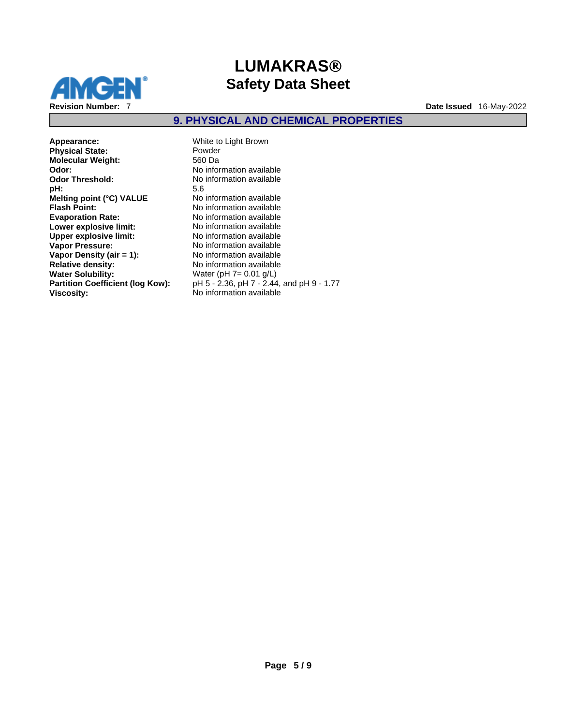

## **9. PHYSICAL AND CHEMICAL PROPERTIES**

**Appearance:** White to Light Brown<br> **Physical State:** Powder **Physical State:** Powder **Molecular Weight: Odor:** Provide the Monte of No information available **Odor Threshold:** No information available<br> **pH:** 5.6 **pH:** 5.6 **Melting point (°C) VALUE** No information available<br> **Flash Point:** No information available **Evaporation Rate:**<br> **Lower explosive limit:**<br>
No information available **Lower explosive limit:**<br> **Upper explosive limit:** No information available<br>
No information available **Upper explosive limit: Vapor Pressure:** No information available **Vapor Density (air = 1):**No information available **Water Solubility:** Water (pH 7= 0.01 g/L)<br>**Partition Coefficient (log Kow):** pH 5 - 2.36, pH 7 - 2.44

**Flash Point:** No information available **Relative density:** No information available **Partition Coefficient (log Kow):** pH 5 - 2.36, pH 7 - 2.44, and pH 9 - 1.77<br>Viscosity: **No information available Viscosity:** No information available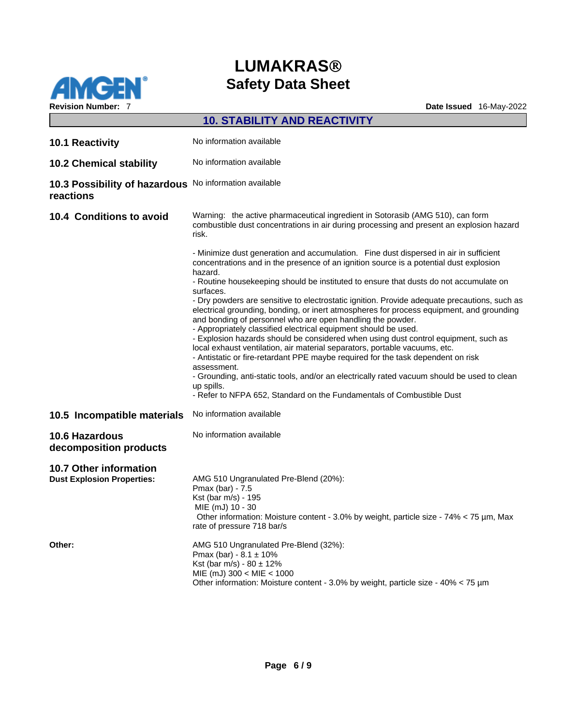

|                                                                     | <b>10. STABILITY AND REACTIVITY</b>                                                                                                                                                                                                                                                                                       |
|---------------------------------------------------------------------|---------------------------------------------------------------------------------------------------------------------------------------------------------------------------------------------------------------------------------------------------------------------------------------------------------------------------|
| 10.1 Reactivity                                                     | No information available                                                                                                                                                                                                                                                                                                  |
| <b>10.2 Chemical stability</b>                                      | No information available                                                                                                                                                                                                                                                                                                  |
| 10.3 Possibility of hazardous No information available<br>reactions |                                                                                                                                                                                                                                                                                                                           |
| 10.4 Conditions to avoid                                            | Warning: the active pharmaceutical ingredient in Sotorasib (AMG 510), can form<br>combustible dust concentrations in air during processing and present an explosion hazard<br>risk.                                                                                                                                       |
|                                                                     | - Minimize dust generation and accumulation. Fine dust dispersed in air in sufficient<br>concentrations and in the presence of an ignition source is a potential dust explosion<br>hazard.                                                                                                                                |
|                                                                     | - Routine housekeeping should be instituted to ensure that dusts do not accumulate on<br>surfaces.                                                                                                                                                                                                                        |
|                                                                     | - Dry powders are sensitive to electrostatic ignition. Provide adequate precautions, such as<br>electrical grounding, bonding, or inert atmospheres for process equipment, and grounding<br>and bonding of personnel who are open handling the powder.<br>- Appropriately classified electrical equipment should be used. |
|                                                                     | - Explosion hazards should be considered when using dust control equipment, such as<br>local exhaust ventilation, air material separators, portable vacuums, etc.                                                                                                                                                         |
|                                                                     | - Antistatic or fire-retardant PPE maybe required for the task dependent on risk                                                                                                                                                                                                                                          |
|                                                                     | assessment.<br>- Grounding, anti-static tools, and/or an electrically rated vacuum should be used to clean<br>up spills.                                                                                                                                                                                                  |
|                                                                     | - Refer to NFPA 652, Standard on the Fundamentals of Combustible Dust                                                                                                                                                                                                                                                     |
| 10.5 Incompatible materials                                         | No information available                                                                                                                                                                                                                                                                                                  |
| 10.6 Hazardous<br>decomposition products                            | No information available                                                                                                                                                                                                                                                                                                  |
| <b>10.7 Other information</b>                                       |                                                                                                                                                                                                                                                                                                                           |
| <b>Dust Explosion Properties:</b>                                   | AMG 510 Ungranulated Pre-Blend (20%):<br>Pmax (bar) - 7.5                                                                                                                                                                                                                                                                 |
|                                                                     | Kst (bar m/s) - 195<br>MIE (mJ) 10 - 30                                                                                                                                                                                                                                                                                   |
|                                                                     | Other information: Moisture content - 3.0% by weight, particle size - 74% < 75 µm, Max<br>rate of pressure 718 bar/s                                                                                                                                                                                                      |
| Other:                                                              | AMG 510 Ungranulated Pre-Blend (32%):<br>Pmax (bar) - $8.1 \pm 10\%$                                                                                                                                                                                                                                                      |
|                                                                     | Kst (bar m/s) - $80 \pm 12\%$                                                                                                                                                                                                                                                                                             |
|                                                                     | $MIE$ (mJ) 300 < MIE < 1000<br>Other information: Moisture content - 3.0% by weight, particle size - $40\% < 75 \,\mathrm{\mu m}$                                                                                                                                                                                         |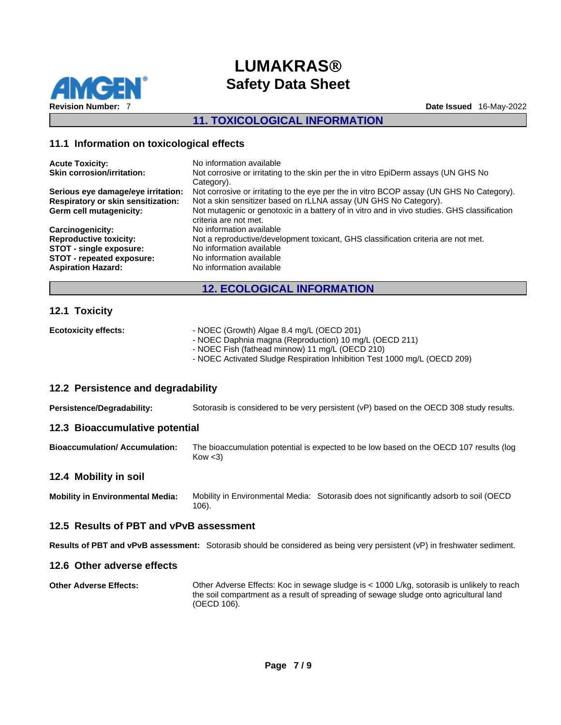

### **11. TOXICOLOGICAL INFORMATION**

### **11.1 Information on toxicological effects**

| <b>Acute Toxicity:</b><br><b>Skin corrosion/irritation:</b> | No information available<br>Not corrosive or irritating to the skin per the in vitro EpiDerm assays (UN GHS No<br>Category). |
|-------------------------------------------------------------|------------------------------------------------------------------------------------------------------------------------------|
| Serious eye damage/eye irritation:                          | Not corrosive or irritating to the eye per the in vitro BCOP assay (UN GHS No Category).                                     |
| <b>Respiratory or skin sensitization:</b>                   | Not a skin sensitizer based on rLLNA assay (UN GHS No Category).                                                             |
| Germ cell mutagenicity:                                     | Not mutagenic or genotoxic in a battery of in vitro and in vivo studies. GHS classification<br>criteria are not met.         |
| Carcinogenicity:                                            | No information available                                                                                                     |
| <b>Reproductive toxicity:</b>                               | Not a reproductive/development toxicant, GHS classification criteria are not met.                                            |
| <b>STOT - single exposure:</b>                              | No information available                                                                                                     |
| STOT - repeated exposure:                                   | No information available                                                                                                     |
| <b>Aspiration Hazard:</b>                                   | No information available                                                                                                     |

### **12. ECOLOGICAL INFORMATION**

### **12.1 Toxicity**

| <b>Ecotoxicity effects:</b> | - NOEC (Growth) Algae 8.4 mg/L (OECD 201)<br>- NOEC Daphnia magna (Reproduction) 10 mg/L (OECD 211)<br>- NOEC Fish (fathead minnow) 11 mg/L (OECD 210) |
|-----------------------------|--------------------------------------------------------------------------------------------------------------------------------------------------------|
| $\overline{100}$            | - NOEC Activated Sludge Respiration Inhibition Test 1000 mg/L (OECD 209)                                                                               |

### **12.2 Persistence and degradability**

**Persistence/Degradability:** Sotorasib isconsidered to be very persistent (vP) based on the OECD 308 study results.

### **12.3 Bioaccumulative potential**

**Bioaccumulation/ Accumulation:** The bioaccumulation potential is expected to be low based on the OECD 107 results (log  $Kow < 3$ 

### **12.4 Mobility in soil**

**Mobility in Environmental Media:** Mobility in Environmental Media: Sotorasib does not significantly adsorb to soil (OECD 106).

### **12.5 Results of PBT and vPvB assessment**

**Results of PBT and vPvB assessment:** Sotorasib should be considered as being very persistent (vP) in freshwater sediment.

### **12.6 Other adverse effects**

**Other Adverse Effects:** Other Adverse Effects: Koc in sewage sludge is < 1000 L/kg, sotorasib is unlikely to reach the soil compartment as a result of spreading of sewage sludge onto agricultural land (OECD 106).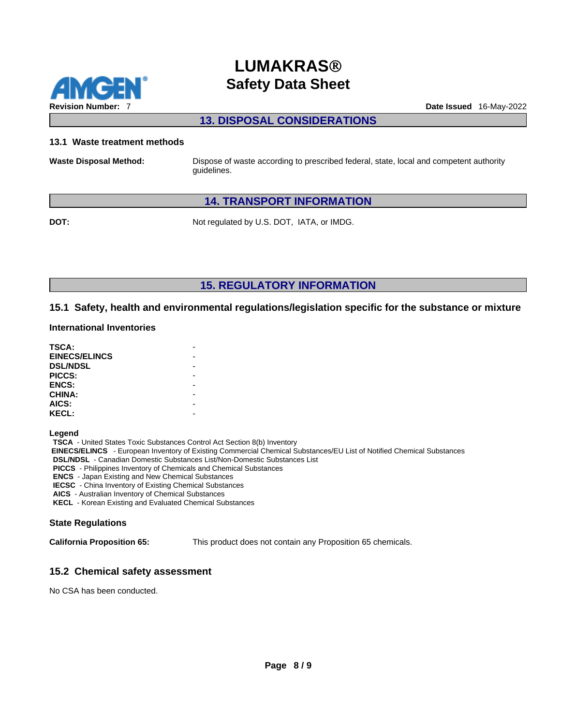

### **13. DISPOSAL CONSIDERATIONS**

#### **13.1 Waste treatment methods**

**Waste Disposal Method:** Dispose of waste according to prescribed federal, state, local and competent authority guidelines.

### **14. TRANSPORT INFORMATION**

**DOT:** Not regulated by U.S. DOT, IATA, or IMDG.

**15. REGULATORY INFORMATION** 

### **15.1 Safety, health and environmental regulations/legislation specific for the substance or mixture**

#### **International Inventories**

| TSCA:                |  |
|----------------------|--|
| <b>EINECS/ELINCS</b> |  |
| <b>DSL/NDSL</b>      |  |
| PICCS:               |  |
| <b>ENCS:</b>         |  |
| <b>CHINA:</b>        |  |
| AICS:                |  |
| <b>KECL:</b>         |  |

**Legend** 

**TSCA** - United States Toxic Substances Control Act Section 8(b) Inventory

 **EINECS/ELINCS** - European Inventory of Existing Commercial Chemical Substances/EU List of Notified Chemical Substances

**DSL/NDSL** - Canadian Domestic Substances List/Non-Domestic Substances List

**PICCS** - Philippines Inventory of Chemicals and Chemical Substances

**ENCS** - Japan Existing and New Chemical Substances

**IECSC** - China Inventory of Existing Chemical Substances

**AICS** - Australian Inventory of Chemical Substances

**KECL** - Korean Existing and Evaluated Chemical Substances

### **State Regulations**

**California Proposition 65:** This product does not contain any Proposition 65 chemicals.

### **15.2 Chemical safety assessment**

No CSA has been conducted.